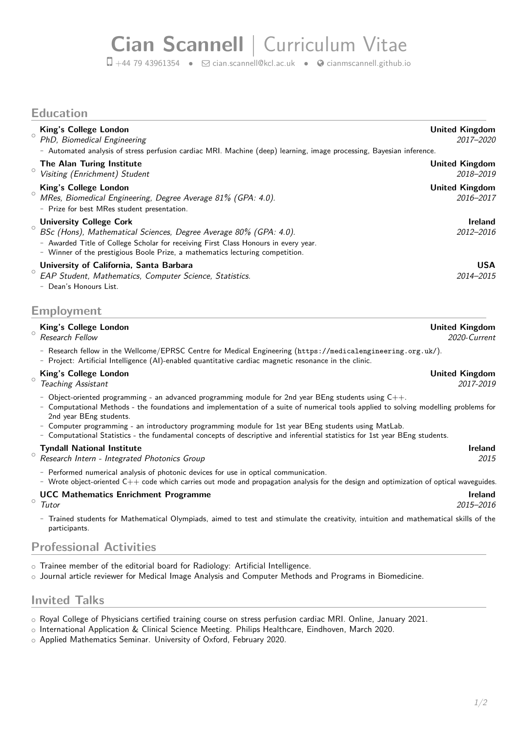# **Cian Scannell** | Curriculum Vitae

 $\Box$  +44 79 43961354 •  $\Box$  [cian.scannell@kcl.ac.uk](mailto:cian.scannell@kcl.ac.uk) •  $\odot$  [cianmscannell.github.io](http://cianmscannell.github.io)

### **Education**

| $\circ$ | King's College London<br>PhD, Biomedical Engineering                                                                                                                                                                                                                        | <b>United Kingdom</b><br>2017-2020 |
|---------|-----------------------------------------------------------------------------------------------------------------------------------------------------------------------------------------------------------------------------------------------------------------------------|------------------------------------|
|         | - Automated analysis of stress perfusion cardiac MRI. Machine (deep) learning, image processing, Bayesian inference.                                                                                                                                                        |                                    |
| $\circ$ | The Alan Turing Institute<br>Visiting (Enrichment) Student                                                                                                                                                                                                                  | <b>United Kingdom</b><br>2018-2019 |
| $\circ$ | King's College London<br>MRes, Biomedical Engineering, Degree Average 81% (GPA: 4.0).<br>- Prize for best MRes student presentation.                                                                                                                                        | <b>United Kingdom</b><br>2016-2017 |
| $\circ$ | <b>University College Cork</b><br>BSc (Hons), Mathematical Sciences, Degree Average 80% (GPA: 4.0).<br>- Awarded Title of College Scholar for receiving First Class Honours in every year.<br>- Winner of the prestigious Boole Prize, a mathematics lecturing competition. | <b>Ireland</b><br>2012-2016        |
| $\circ$ | University of California, Santa Barbara<br>EAP Student, Mathematics, Computer Science, Statistics.<br>- Dean's Honours List.                                                                                                                                                | <b>USA</b><br>2014-2015            |

#### **Employment**

#### $\circ$ **King's College London United Kingdom** Research Fellow 2020-Current

**-** Research fellow in the Wellcome/EPRSC Centre for Medical Engineering (<https://medicalengineering.org.uk/>).

**-** Project: Artificial Intelligence (AI)-enabled quantitative cardiac magnetic resonance in the clinic.

#### $\sim$ **King's College London United Kingdom**

Teaching Assistant 2017-2019

- **-** Object-oriented programming an advanced programming module for 2nd year BEng students using C++.
- **-** Computational Methods the foundations and implementation of a suite of numerical tools applied to solving modelling problems for 2nd year BEng students.
- **-** Computer programming an introductory programming module for 1st year BEng students using MatLab.
- **-** Computational Statistics the fundamental concepts of descriptive and inferential statistics for 1st year BEng students.

#### $\circ$ **Tyndall National Institute Ireland**

Research Intern - Integrated Photonics Group 2015

- **-** Performed numerical analysis of photonic devices for use in optical communication.
- **-** Wrote object-oriented C++ code which carries out mode and propagation analysis for the design and optimization of optical waveguides.

#### $\circ$ **UCC Mathematics Enrichment Programme** Integration of the extension of the extendio of the extendio of the extendio of the extendio of the extendio of the extendio of the extendio of the extendio of the extendio of the ext

Tutor 2015–2016

**-** Trained students for Mathematical Olympiads, aimed to test and stimulate the creativity, intuition and mathematical skills of the participants.

### **Professional Activities**

- o Trainee member of the editorial board for Radiology: Artificial Intelligence.
- o Journal article reviewer for Medical Image Analysis and Computer Methods and Programs in Biomedicine.

## **Invited Talks**

- o Royal College of Physicians certified training course on stress perfusion cardiac MRI. Online, January 2021.
- o International Application & Clinical Science Meeting. Philips Healthcare, Eindhoven, March 2020.
- o Applied Mathematics Seminar. University of Oxford, February 2020.